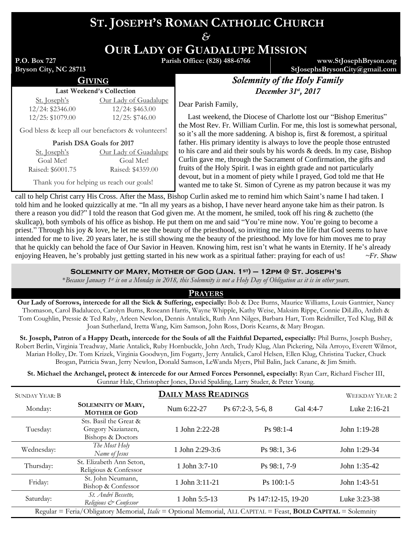# **ST. JOSEPH'S ROMAN CATHOLIC CHURCH**

*&*

**OUR LADY OF GUADALUPE MISSION**

**P.O. Box 727 Bryson City, NC 28713** **Parish Office: (828) 488-6766 www.StJosephBryson.org**

**StJosephsBrysonCity@gmail.com**

# GIVING *Solemnity of the Holy Family* December 31<sup>st</sup>, 2017

Last Weekend's Collection St. Joseph's 12/24: \$2346.00 12/25: \$1079.00

St. Joseph's Goal Met! Raised: \$6001.75 Our Lady of Guadalupe 12/24: \$463.00 12/25: \$746.00

Our Lady of Guadalupe Goal Met! Raised: \$4359.00

Dear Parish Family,

 Last weekend, the Diocese of Charlotte lost our "Bishop Emeritus" the Most Rev. Fr. William Curlin. For me, this lost is somewhat personal, so it's all the more saddening. A bishop is, first & foremost, a spiritual father. His primary identity is always to love the people those entrusted to his care and aid their souls by his words & deeds. In my case, Bishop Curlin gave me, through the Sacrament of Confirmation, the gifts and fruits of the Holy Spirit. I was in eighth grade and not particularly devout, but in a moment of piety while I prayed, God told me that He wanted me to take St. Simon of Cyrene as my patron because it was my

Thank you for helping us reach our goals!

God bless & keep all our benefactors & volunteers! **Parish DSA Goals for 2017**

call to help Christ carry His Cross. After the Mass, Bishop Curlin asked me to remind him which Saint's name I had taken. I told him and he looked quizzically at me. "In all my years as a bishop, I have never heard anyone take him as their patron. Is there a reason you did?" I told the reason that God given me. At the moment, he smiled, took off his ring & zuchetto (the skullcap), both symbols of his office as bishop. He put them on me and said "You're mine now. You're going to become a priest." Through his joy & love, he let me see the beauty of the priesthood, so inviting me into the life that God seems to have intended for me to live. 20 years later, he is still showing me the beauty of the priesthood. My love for him moves me to pray that he quickly can behold the face of Our Savior in Heaven. Knowing him, rest isn't what he wants in Eternity. If he's already enjoying Heaven, he's probably just getting started in his new work as a spiritual father: praying for each of us! *~Fr. Shaw*

### **Solemnity of Mary, Mother of God (Jan. 1st) – 12pm @ St. Joseph's**

\**Because January 1st is on a Monday in 2018, this Solemnity is not a Holy Day of Obligation as it is in other years.*

#### **PRAYERS**

**Our Lady of Sorrows, intercede for all the Sick & Suffering, especially:** Bob & Dee Burns, Maurice Williams, Louis Gantnier, Nancy Thomason, Carol Badalucco, Carolyn Burns, Roseann Harris, Wayne Whipple, Kathy Weise, Maksim Rippe, Connie DiLillo, Ardith & Tom Coughlin, Pressie & Ted Raby, Arleen Newlon, Dennis Antalick, Ruth Ann Nilges, Barbara Hart, Tom Reidmiller, Ted Klug, Bill & Joan Sutherland, Iretta Wang, Kim Samson, John Ross, Doris Kearns, & Mary Brogan.

**St. Joseph, Patron of a Happy Death, intercede for the Souls of all the Faithful Departed, especially:** Phil Burns, Joseph Bushey, Robert Berlin, Virginia Treadway, Marie Antalick, Ruby Hornbuckle, John Arch, Trudy Klug, Alan Pickering, Nila Arroyo, Everett Wilmot, Marian Holley, Dr. Tom Krizek, Virginia Goodwyn, Jim Fogarty, Jerry Antalick, Carol Helsen, Ellen Klug, Christina Tucker, Chuck Brogan, Patricia Swan, Jerry Newlon, Donald Samson, LeWanda Myers, Phil Balin, Jack Canane, & Jim Smith.

**St. Michael the Archangel, protect & intercede for our Armed Forces Personnel, especially:** Ryan Carr, Richard Fischer III, Gunnar Hale, Christopher Jones, David Spalding, Larry Studer, & Peter Young.

| <b>SUNDAY YEAR: B</b>                                                                                                        |                                                                   | WEEKDAY YEAR: 2   |                      |           |                |  |
|------------------------------------------------------------------------------------------------------------------------------|-------------------------------------------------------------------|-------------------|----------------------|-----------|----------------|--|
| Monday:                                                                                                                      | <b>SOLEMNITY OF MARY,</b><br><b>MOTHER OF GOD</b>                 | Num 6:22-27       | Ps $67:2-3$ , 5-6, 8 | Gal 4:4-7 | Luke 2:16-21   |  |
| Tuesday:                                                                                                                     | Sts. Basil the Great &<br>Gregory Nazianzen,<br>Bishops & Doctors | 1 John 2:22-28    | $Ps$ 98:1-4          |           | John 1:19-28   |  |
| Wednesday:                                                                                                                   | The Most Holy<br>Name of Jesus                                    | 1 John $2:29-3:6$ | $Ps 98:1, 3-6$       |           | John $1:29-34$ |  |
| Thursday:                                                                                                                    | St. Elizabeth Ann Seton,<br>Religious & Confessor                 | 1 John $3:7-10$   | Ps 98:1, 7-9         |           | John $1:35-42$ |  |
| Friday:                                                                                                                      | St. John Neumann,<br>Bishop & Confessor                           | 1 John 3:11-21    | $Ps$ 100:1-5         |           | John 1:43-51   |  |
| Saturday:                                                                                                                    | St. André Bessette,<br>Religious & Confessor                      | 1 John 5:5-13     | Ps 147:12-15, 19-20  |           | Luke 3:23-38   |  |
| Regular = Feria/Obligatory Memorial, <i>Italic</i> = Optional Memorial, ALL CAPITAL = Feast, <b>BOLD CAPITAL</b> = Solemnity |                                                                   |                   |                      |           |                |  |